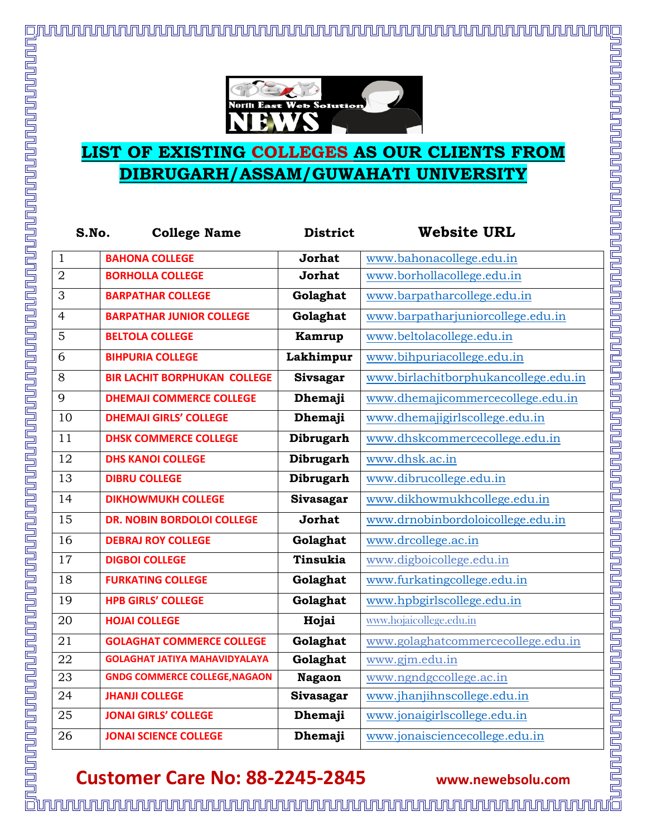

## **LIST OF EXISTING COLLEGES AS OUR CLIENTS FROM DIBRUGARH/ASSAM/GUWAHATI UNIVERSITY**

| S.No.           | <b>College Name</b>                  | <b>District</b>  | <b>Website URL</b>                   |
|-----------------|--------------------------------------|------------------|--------------------------------------|
| $\mathbf{1}$    | <b>BAHONA COLLEGE</b>                | <b>Jorhat</b>    | www.bahonacollege.edu.in             |
| $\overline{2}$  | <b>BORHOLLA COLLEGE</b>              | <b>Jorhat</b>    | www.borhollacollege.edu.in           |
| $\overline{3}$  | <b>BARPATHAR COLLEGE</b>             | Golaghat         | www.barpatharcollege.edu.in          |
| $\overline{4}$  | <b>BARPATHAR JUNIOR COLLEGE</b>      | Golaghat         | www.barpatharjuniorcollege.edu.in    |
| 5               | <b>BELTOLA COLLEGE</b>               | Kamrup           | www.beltolacollege.edu.in            |
| 6               | <b>BIHPURIA COLLEGE</b>              | Lakhimpur        | www.bihpuriacollege.edu.in           |
| $8\,$           | <b>BIR LACHIT BORPHUKAN COLLEGE</b>  | <b>Sivsagar</b>  | www.birlachitborphukancollege.edu.in |
| 9               | <b>DHEMAJI COMMERCE COLLEGE</b>      | Dhemaji          | www.dhemajicommercecollege.edu.in    |
| 10              | <b>DHEMAJI GIRLS' COLLEGE</b>        | Dhemaji          | www.dhemajigirlscollege.edu.in       |
| $\overline{11}$ | <b>DHSK COMMERCE COLLEGE</b>         | Dibrugarh        | www.dhskcommercecollege.edu.in       |
| 12              | <b>DHS KANOI COLLEGE</b>             | <b>Dibrugarh</b> | www.dhsk.ac.in                       |
| 13              | <b>DIBRU COLLEGE</b>                 | Dibrugarh        | www.dibrucollege.edu.in              |
| 14              | <b>DIKHOWMUKH COLLEGE</b>            | Sivasagar        | www.dikhowmukhcollege.edu.in         |
| 15              | <b>DR. NOBIN BORDOLOI COLLEGE</b>    | <b>Jorhat</b>    | www.drnobinbordoloicollege.edu.in    |
| 16              | <b>DEBRAJ ROY COLLEGE</b>            | Golaghat         | www.drcollege.ac.in                  |
| 17              | <b>DIGBOI COLLEGE</b>                | Tinsukia         | www.digboicollege.edu.in             |
| 18              | <b>FURKATING COLLEGE</b>             | Golaghat         | www.furkatingcollege.edu.in          |
| 19              | <b>HPB GIRLS' COLLEGE</b>            | Golaghat         | www.hpbgirlscollege.edu.in           |
| 20              | <b>HOJAI COLLEGE</b>                 | Hojai            | www.hojaicollege.edu.in              |
| 21              | <b>GOLAGHAT COMMERCE COLLEGE</b>     | Golaghat         | www.golaghatcommercecollege.edu.in   |
| 22              | <b>GOLAGHAT JATIYA MAHAVIDYALAYA</b> | Golaghat         | www.gjm.edu.in                       |
| 23              | <b>GNDG COMMERCE COLLEGE, NAGAON</b> | <b>Nagaon</b>    | www.ngndgccollege.ac.in              |
| 24              | <b>JHANJI COLLEGE</b>                | Sivasagar        | www.jhanjihnscollege.edu.in          |
| 25              | <b>JONAI GIRLS' COLLEGE</b>          | Dhemaji          | www.jonaigirlscollege.edu.in         |
| 26              | <b>JONAI SCIENCE COLLEGE</b>         | Dhemaji          | www.jonaisciencecollege.edu.in       |

## **Customer Care No: 88-2245-2845 www.newebsolu.com**